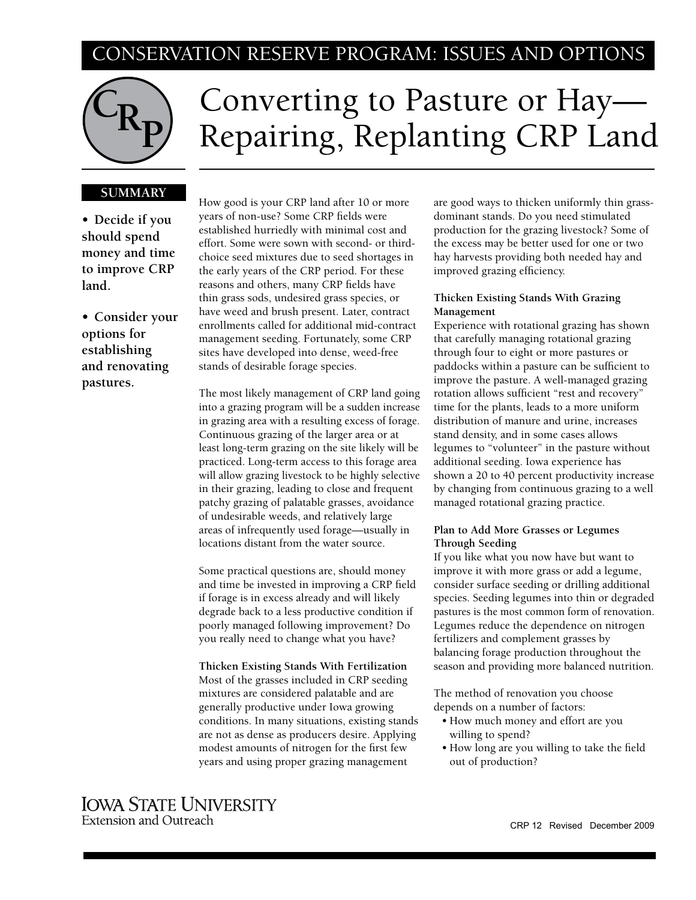## CONSERVATION RESERVE PROGRAM: ISSUES AND OPTIONS



# Converting to Pasture or Hay— Repairing, Replanting CRP Land

## **SUMMARY**

**• Decide if you should spend money and time to improve CRP land.** 

**• Consider your options for establishing and renovating pastures.**

How good is your CRP land after 10 or more years of non-use? Some CRP fields were established hurriedly with minimal cost and effort. Some were sown with second- or thirdchoice seed mixtures due to seed shortages in the early years of the CRP period. For these reasons and others, many CRP fields have thin grass sods, undesired grass species, or have weed and brush present. Later, contract enrollments called for additional mid-contract management seeding. Fortunately, some CRP sites have developed into dense, weed-free stands of desirable forage species.

The most likely management of CRP land going into a grazing program will be a sudden increase in grazing area with a resulting excess of forage. Continuous grazing of the larger area or at least long-term grazing on the site likely will be practiced. Long-term access to this forage area will allow grazing livestock to be highly selective in their grazing, leading to close and frequent patchy grazing of palatable grasses, avoidance of undesirable weeds, and relatively large areas of infrequently used forage—usually in locations distant from the water source.

Some practical questions are, should money and time be invested in improving a CRP field if forage is in excess already and will likely degrade back to a less productive condition if poorly managed following improvement? Do you really need to change what you have?

**Thicken Existing Stands With Fertilization**  Most of the grasses included in CRP seeding mixtures are considered palatable and are generally productive under Iowa growing conditions. In many situations, existing stands are not as dense as producers desire. Applying modest amounts of nitrogen for the first few years and using proper grazing management

are good ways to thicken uniformly thin grassdominant stands. Do you need stimulated production for the grazing livestock? Some of the excess may be better used for one or two hay harvests providing both needed hay and improved grazing efficiency.

## **Thicken Existing Stands With Grazing Management**

Experience with rotational grazing has shown that carefully managing rotational grazing through four to eight or more pastures or paddocks within a pasture can be sufficient to improve the pasture. A well-managed grazing rotation allows sufficient "rest and recovery" time for the plants, leads to a more uniform distribution of manure and urine, increases stand density, and in some cases allows legumes to "volunteer" in the pasture without additional seeding. Iowa experience has shown a 20 to 40 percent productivity increase by changing from continuous grazing to a well managed rotational grazing practice.

## **Plan to Add More Grasses or Legumes Through Seeding**

If you like what you now have but want to improve it with more grass or add a legume, consider surface seeding or drilling additional species. Seeding legumes into thin or degraded pastures is the most common form of renovation. Legumes reduce the dependence on nitrogen fertilizers and complement grasses by balancing forage production throughout the season and providing more balanced nutrition.

The method of renovation you choose depends on a number of factors:

- How much money and effort are you willing to spend?
- How long are you willing to take the field out of production?

## **IOWA STATE UNIVERSITY Extension and Outreach**